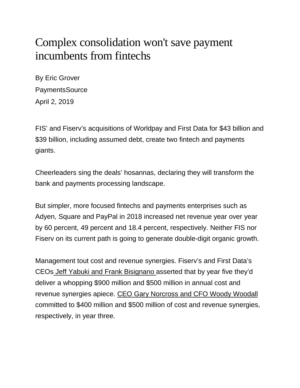## Complex consolidation won't save payment incumbents from fintechs

By Eric Grover PaymentsSource April 2, 2019

FIS' and Fiserv's acquisitions of Worldpay and First Data for \$43 billion and \$39 billion, including assumed debt, create two fintech and payments giants.

Cheerleaders sing the deals' hosannas, declaring they will transform the bank and payments processing landscape.

But simpler, more focused fintechs and payments enterprises such as Adyen, Square and PayPal in 2018 increased net revenue year over year by 60 percent, 49 percent and 18.4 percent, respectively. Neither FIS nor Fiserv on its current path is going to generate double-digit organic growth.

Management tout cost and revenue synergies. Fiserv's and First Data's CEOs [Jeff Yabuki and Frank Bisignano](https://newsroom.fiserv.com/static-files/084bd77f-a222-40aa-a7bc-f53834a3c702) asserted that by year five they'd deliver a whopping \$900 million and \$500 million in annual cost and revenue synergies apiece. [CEO Gary Norcross and CFO Woody Woodall](https://www.investor.fisglobal.com/static-files/fa1d310c-65d1-4256-b3a9-5404e5584f72) committed to \$400 million and \$500 million of cost and revenue synergies, respectively, in year three.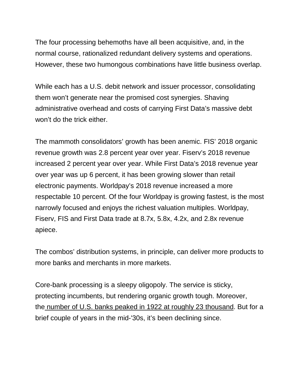The four processing behemoths have all been acquisitive, and, in the normal course, rationalized redundant delivery systems and operations. However, these two humongous combinations have little business overlap.

While each has a U.S. debit network and issuer processor, consolidating them won't generate near the promised cost synergies. Shaving administrative overhead and costs of carrying First Data's massive debt won't do the trick either.

The mammoth consolidators' growth has been anemic. FIS' 2018 organic revenue growth was 2.8 percent year over year. Fiserv's 2018 revenue increased 2 percent year over year. While First Data's 2018 revenue year over year was up 6 percent, it has been growing slower than retail electronic payments. Worldpay's 2018 revenue increased a more respectable 10 percent. Of the four Worldpay is growing fastest, is the most narrowly focused and enjoys the richest valuation multiples. Worldpay, Fiserv, FIS and First Data trade at 8.7x, 5.8x, 4.2x, and 2.8x revenue apiece.

The combos' distribution systems, in principle, can deliver more products to more banks and merchants in more markets.

Core-bank processing is a sleepy oligopoly. The service is sticky, protecting incumbents, but rendering organic growth tough. Moreover, the [number of U.S. banks peaked in 1922 at roughly 23 thousand.](https://fraser.stlouisfed.org/title/39) But for a brief couple of years in the mid-'30s, it's been declining since.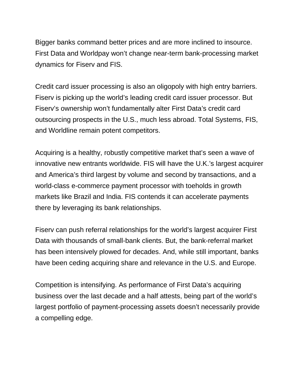Bigger banks command better prices and are more inclined to insource. First Data and Worldpay won't change near-term bank-processing market dynamics for Fiserv and FIS.

Credit card issuer processing is also an oligopoly with high entry barriers. Fiserv is picking up the world's leading credit card issuer processor. But Fiserv's ownership won't fundamentally alter First Data's credit card outsourcing prospects in the U.S., much less abroad. Total Systems, FIS, and Worldline remain potent competitors.

Acquiring is a healthy, robustly competitive market that's seen a wave of innovative new entrants worldwide. FIS will have the U.K.'s largest acquirer and America's third largest by volume and second by transactions, and a world-class e-commerce payment processor with toeholds in growth markets like Brazil and India. FIS contends it can accelerate payments there by leveraging its bank relationships.

Fiserv can push referral relationships for the world's largest acquirer First Data with thousands of small-bank clients. But, the bank-referral market has been intensively plowed for decades. And, while still important, banks have been ceding acquiring share and relevance in the U.S. and Europe.

Competition is intensifying. As performance of First Data's acquiring business over the last decade and a half attests, being part of the world's largest portfolio of payment-processing assets doesn't necessarily provide a compelling edge.